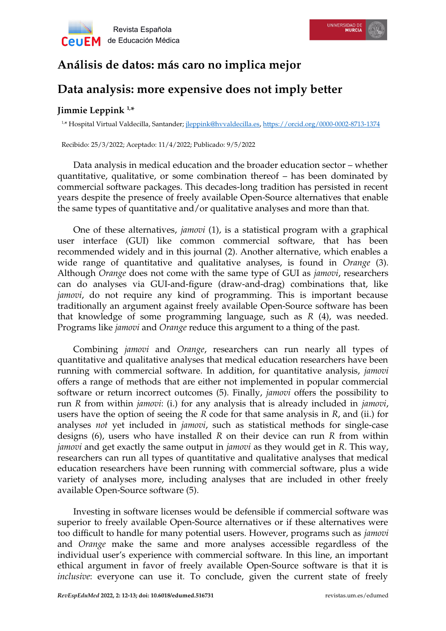

## **Análisis de datos: más caro no implica mejor**

## **Data analysis: more expensive does not imply better**

## **Jimmie Leppink 1,\***

1,\* Hospital Virtual Valdecilla, Santander; [jleppink@hvvaldecilla.es,](mailto:jleppink@hvvaldecilla.es)<https://orcid.org/0000-0002-8713-1374>

Recibido: 25/3/2022; Aceptado: 11/4/2022; Publicado: 9/5/2022

Data analysis in medical education and the broader education sector – whether quantitative, qualitative, or some combination thereof – has been dominated by commercial software packages. This decades-long tradition has persisted in recent years despite the presence of freely available Open-Source alternatives that enable the same types of quantitative and/or qualitative analyses and more than that.

One of these alternatives, *jamovi* (1), is a statistical program with a graphical user interface (GUI) like common commercial software, that has been recommended widely and in this journal (2). Another alternative, which enables a wide range of quantitative and qualitative analyses, is found in *Orange* (3). Although *Orange* does not come with the same type of GUI as *jamovi*, researchers can do analyses via GUI-and-figure (draw-and-drag) combinations that, like *jamovi*, do not require any kind of programming. This is important because traditionally an argument against freely available Open-Source software has been that knowledge of some programming language, such as *R* (4), was needed. Programs like *jamovi* and *Orange* reduce this argument to a thing of the past.

Combining *jamovi* and *Orange*, researchers can run nearly all types of quantitative and qualitative analyses that medical education researchers have been running with commercial software. In addition, for quantitative analysis, *jamovi* offers a range of methods that are either not implemented in popular commercial software or return incorrect outcomes (5). Finally, *jamovi* offers the possibility to run *R* from within *jamovi*: (i.) for any analysis that is already included in *jamovi*, users have the option of seeing the *R* code for that same analysis in *R*, and (ii.) for analyses *not* yet included in *jamovi*, such as statistical methods for single-case designs (6), users who have installed *R* on their device can run *R* from within *jamovi* and get exactly the same output in *jamovi* as they would get in *R*. This way, researchers can run all types of quantitative and qualitative analyses that medical education researchers have been running with commercial software, plus a wide variety of analyses more, including analyses that are included in other freely available Open-Source software (5).

Investing in software licenses would be defensible if commercial software was superior to freely available Open-Source alternatives or if these alternatives were too difficult to handle for many potential users. However, programs such as *jamovi* and *Orange* make the same and more analyses accessible regardless of the individual user's experience with commercial software. In this line, an important ethical argument in favor of freely available Open-Source software is that it is *inclusive*: everyone can use it. To conclude, given the current state of freely